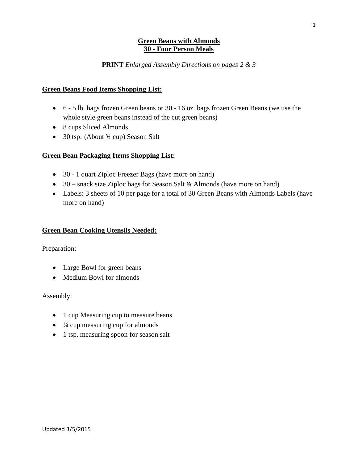#### **Green Beans with Almonds 30 - Four Person Meals**

#### **PRINT** *Enlarged Assembly Directions on pages 2 & 3*

#### **Green Beans Food Items Shopping List:**

- 6 5 lb. bags frozen Green beans or 30 16 oz. bags frozen Green Beans (we use the whole style green beans instead of the cut green beans)
- 8 cups Sliced Almonds
- 30 tsp. (About  $\frac{3}{4}$  cup) Season Salt

### **Green Bean Packaging Items Shopping List:**

- 30 1 quart Ziploc Freezer Bags (have more on hand)
- 30 snack size Ziploc bags for Season Salt & Almonds (have more on hand)
- Labels: 3 sheets of 10 per page for a total of 30 Green Beans with Almonds Labels (have more on hand)

#### **Green Bean Cooking Utensils Needed:**

Preparation:

- Large Bowl for green beans
- Medium Bowl for almonds

Assembly:

- 1 cup Measuring cup to measure beans
- $\bullet$   $\frac{1}{4}$  cup measuring cup for almonds
- 1 tsp. measuring spoon for season salt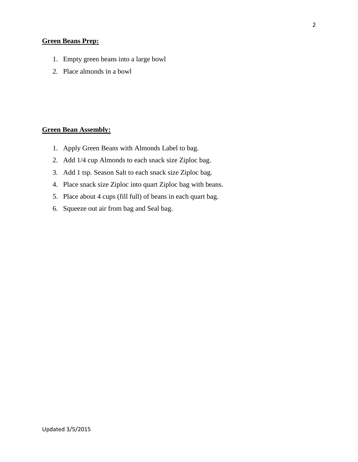# **Green Beans Prep:**

- 1. Empty green beans into a large bowl
- 2. Place almonds in a bowl

# **Green Bean Assembly:**

- 1. Apply Green Beans with Almonds Label to bag.
- 2. Add 1/4 cup Almonds to each snack size Ziploc bag.
- 3. Add 1 tsp. Season Salt to each snack size Ziploc bag.
- 4. Place snack size Ziploc into quart Ziploc bag with beans.
- 5. Place about 4 cups (fill full) of beans in each quart bag.
- 6. Squeeze out air from bag and Seal bag.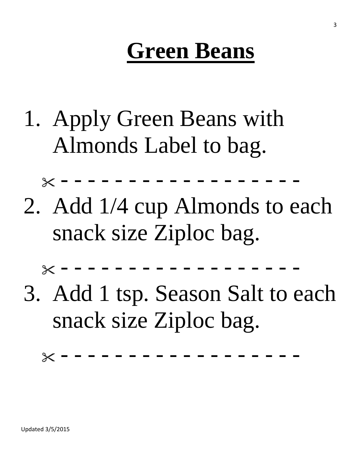# **Green Beans**

- 1. Apply Green Beans with Almonds Label to bag.
- 2. Add 1/4 cup Almonds to each snack size Ziploc bag.

- - - - - - - - - - - - - - - - - - 3. Add 1 tsp. Season Salt to each

snack size Ziploc bag.

- - - - - - - - - - - - - - - - - -

 $\times$  - - - - -